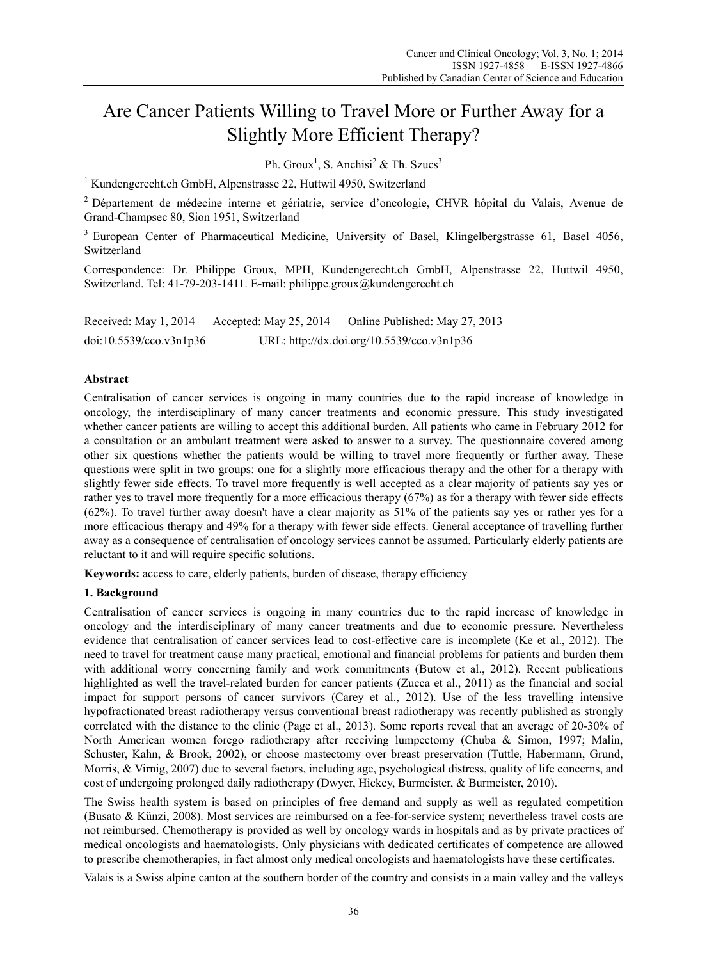# Are Cancer Patients Willing to Travel More or Further Away for a Slightly More Efficient Therapy?

Ph. Groux<sup>1</sup>, S. Anchisi<sup>2</sup> & Th. Szucs<sup>3</sup>

<sup>1</sup> Kundengerecht.ch GmbH, Alpenstrasse 22, Huttwil 4950, Switzerland

2 Département de médecine interne et gériatrie, service d'oncologie, CHVR–hôpital du Valais, Avenue de Grand-Champsec 80, Sion 1951, Switzerland

<sup>3</sup> European Center of Pharmaceutical Medicine, University of Basel, Klingelbergstrasse 61, Basel 4056, Switzerland

Correspondence: Dr. Philippe Groux, MPH, Kundengerecht.ch GmbH, Alpenstrasse 22, Huttwil 4950, Switzerland. Tel: 41-79-203-1411. E-mail: philippe.groux@kundengerecht.ch

Received: May 1, 2014 Accepted: May 25, 2014 Online Published: May 27, 2013 doi:10.5539/cco.v3n1p36 URL: http://dx.doi.org/10.5539/cco.v3n1p36

## **Abstract**

Centralisation of cancer services is ongoing in many countries due to the rapid increase of knowledge in oncology, the interdisciplinary of many cancer treatments and economic pressure. This study investigated whether cancer patients are willing to accept this additional burden. All patients who came in February 2012 for a consultation or an ambulant treatment were asked to answer to a survey. The questionnaire covered among other six questions whether the patients would be willing to travel more frequently or further away. These questions were split in two groups: one for a slightly more efficacious therapy and the other for a therapy with slightly fewer side effects. To travel more frequently is well accepted as a clear majority of patients say yes or rather yes to travel more frequently for a more efficacious therapy (67%) as for a therapy with fewer side effects (62%). To travel further away doesn't have a clear majority as 51% of the patients say yes or rather yes for a more efficacious therapy and 49% for a therapy with fewer side effects. General acceptance of travelling further away as a consequence of centralisation of oncology services cannot be assumed. Particularly elderly patients are reluctant to it and will require specific solutions.

**Keywords:** access to care, elderly patients, burden of disease, therapy efficiency

#### **1. Background**

Centralisation of cancer services is ongoing in many countries due to the rapid increase of knowledge in oncology and the interdisciplinary of many cancer treatments and due to economic pressure. Nevertheless evidence that centralisation of cancer services lead to cost-effective care is incomplete (Ke et al., 2012). The need to travel for treatment cause many practical, emotional and financial problems for patients and burden them with additional worry concerning family and work commitments (Butow et al., 2012). Recent publications highlighted as well the travel-related burden for cancer patients (Zucca et al., 2011) as the financial and social impact for support persons of cancer survivors (Carey et al., 2012). Use of the less travelling intensive hypofractionated breast radiotherapy versus conventional breast radiotherapy was recently published as strongly correlated with the distance to the clinic (Page et al., 2013). Some reports reveal that an average of 20-30% of North American women forego radiotherapy after receiving lumpectomy (Chuba & Simon, 1997; Malin, Schuster, Kahn, & Brook, 2002), or choose mastectomy over breast preservation (Tuttle, Habermann, Grund, Morris, & Virnig, 2007) due to several factors, including age, psychological distress, quality of life concerns, and cost of undergoing prolonged daily radiotherapy (Dwyer, Hickey, Burmeister, & Burmeister, 2010).

The Swiss health system is based on principles of free demand and supply as well as regulated competition (Busato & Künzi, 2008). Most services are reimbursed on a fee-for-service system; nevertheless travel costs are not reimbursed. Chemotherapy is provided as well by oncology wards in hospitals and as by private practices of medical oncologists and haematologists. Only physicians with dedicated certificates of competence are allowed to prescribe chemotherapies, in fact almost only medical oncologists and haematologists have these certificates.

Valais is a Swiss alpine canton at the southern border of the country and consists in a main valley and the valleys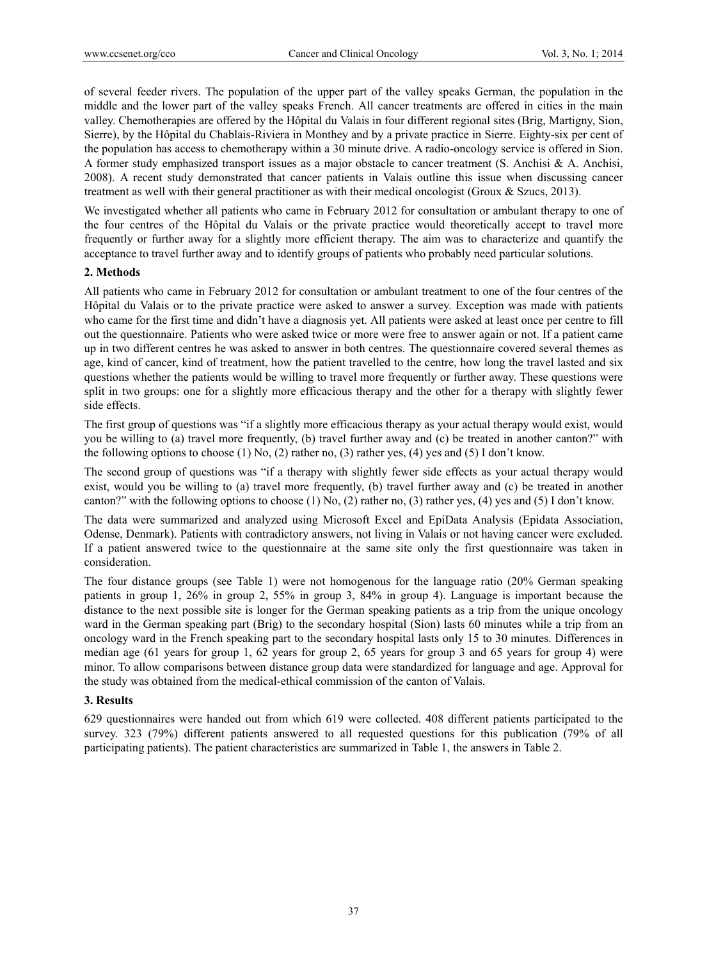of several feeder rivers. The population of the upper part of the valley speaks German, the population in the middle and the lower part of the valley speaks French. All cancer treatments are offered in cities in the main valley. Chemotherapies are offered by the Hôpital du Valais in four different regional sites (Brig, Martigny, Sion, Sierre), by the Hôpital du Chablais-Riviera in Monthey and by a private practice in Sierre. Eighty-six per cent of the population has access to chemotherapy within a 30 minute drive. A radio-oncology service is offered in Sion. A former study emphasized transport issues as a major obstacle to cancer treatment  $(S.$  Anchisi  $\&$  A. Anchisi, 2008). A recent study demonstrated that cancer patients in Valais outline this issue when discussing cancer treatment as well with their general practitioner as with their medical oncologist (Groux & Szucs, 2013).

We investigated whether all patients who came in February 2012 for consultation or ambulant therapy to one of the four centres of the Hôpital du Valais or the private practice would theoretically accept to travel more frequently or further away for a slightly more efficient therapy. The aim was to characterize and quantify the acceptance to travel further away and to identify groups of patients who probably need particular solutions.

#### **2. Methods**

All patients who came in February 2012 for consultation or ambulant treatment to one of the four centres of the Hôpital du Valais or to the private practice were asked to answer a survey. Exception was made with patients who came for the first time and didn't have a diagnosis yet. All patients were asked at least once per centre to fill out the questionnaire. Patients who were asked twice or more were free to answer again or not. If a patient came up in two different centres he was asked to answer in both centres. The questionnaire covered several themes as age, kind of cancer, kind of treatment, how the patient travelled to the centre, how long the travel lasted and six questions whether the patients would be willing to travel more frequently or further away. These questions were split in two groups: one for a slightly more efficacious therapy and the other for a therapy with slightly fewer side effects.

The first group of questions was "if a slightly more efficacious therapy as your actual therapy would exist, would you be willing to (a) travel more frequently, (b) travel further away and (c) be treated in another canton?" with the following options to choose (1) No, (2) rather no, (3) rather yes, (4) yes and (5) I don't know.

The second group of questions was "if a therapy with slightly fewer side effects as your actual therapy would exist, would you be willing to (a) travel more frequently, (b) travel further away and (c) be treated in another canton?" with the following options to choose (1) No, (2) rather no, (3) rather yes, (4) yes and (5) I don't know.

The data were summarized and analyzed using Microsoft Excel and EpiData Analysis (Epidata Association, Odense, Denmark). Patients with contradictory answers, not living in Valais or not having cancer were excluded. If a patient answered twice to the questionnaire at the same site only the first questionnaire was taken in consideration.

The four distance groups (see Table 1) were not homogenous for the language ratio (20% German speaking patients in group 1, 26% in group 2, 55% in group 3, 84% in group 4). Language is important because the distance to the next possible site is longer for the German speaking patients as a trip from the unique oncology ward in the German speaking part (Brig) to the secondary hospital (Sion) lasts 60 minutes while a trip from an oncology ward in the French speaking part to the secondary hospital lasts only 15 to 30 minutes. Differences in median age (61 years for group 1, 62 years for group 2, 65 years for group 3 and 65 years for group 4) were minor. To allow comparisons between distance group data were standardized for language and age. Approval for the study was obtained from the medical-ethical commission of the canton of Valais.

#### **3. Results**

629 questionnaires were handed out from which 619 were collected. 408 different patients participated to the survey. 323 (79%) different patients answered to all requested questions for this publication (79% of all participating patients). The patient characteristics are summarized in Table 1, the answers in Table 2.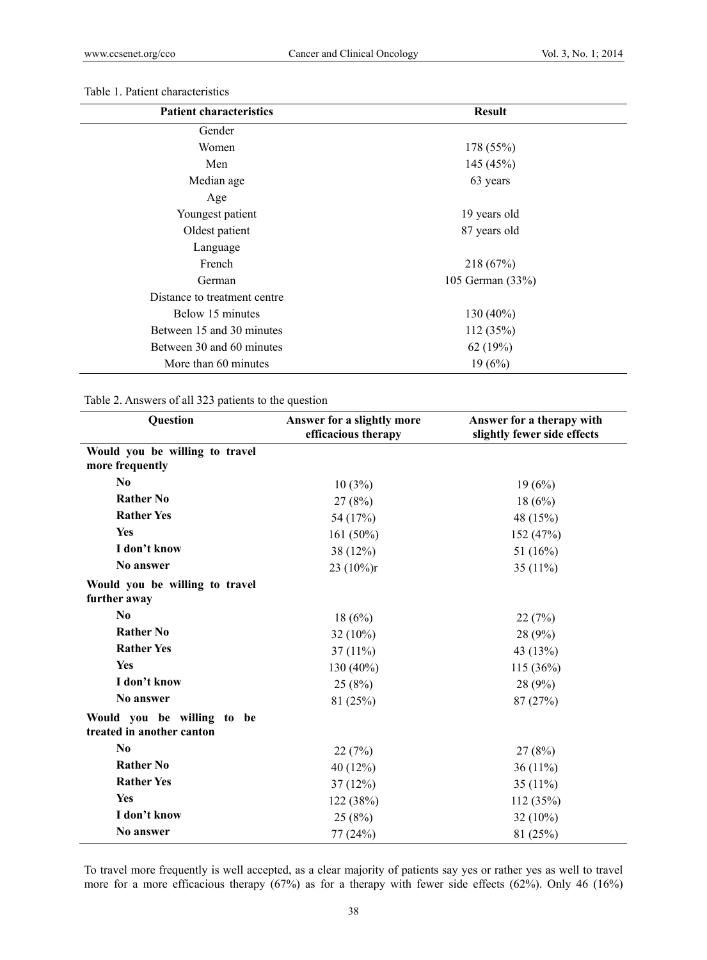| Table 1. Patient characteristics |
|----------------------------------|
|----------------------------------|

| <b>Patient characteristics</b> | <b>Result</b>    |  |
|--------------------------------|------------------|--|
| Gender                         |                  |  |
| Women                          | 178 (55%)        |  |
| Men                            | 145 (45%)        |  |
| Median age                     | 63 years         |  |
| Age                            |                  |  |
| Youngest patient               | 19 years old     |  |
| Oldest patient                 | 87 years old     |  |
| Language                       |                  |  |
| French                         | 218(67%)         |  |
| German                         | 105 German (33%) |  |
| Distance to treatment centre   |                  |  |
| Below 15 minutes               | $130(40\%)$      |  |
| Between 15 and 30 minutes      | 112(35%)         |  |
| Between 30 and 60 minutes      | 62(19%)          |  |
| More than 60 minutes           | 19(6%)           |  |

Table 2. Answers of all 323 patients to the question

| Question                       | Answer for a slightly more | Answer for a therapy with   |
|--------------------------------|----------------------------|-----------------------------|
|                                | efficacious therapy        | slightly fewer side effects |
| Would you be willing to travel |                            |                             |
| more frequently                |                            |                             |
| N <sub>0</sub>                 | 10(3%)                     | 19(6%)                      |
| <b>Rather No</b>               | 27(8%)                     | 18(6%)                      |
| <b>Rather Yes</b>              | 54 (17%)                   | 48 (15%)                    |
| <b>Yes</b>                     | 161 $(50\%)$               | 152 (47%)                   |
| I don't know                   | 38 (12%)                   | 51 $(16%)$                  |
| No answer                      | 23 $(10\%)r$               | 35 $(11\%)$                 |
| Would you be willing to travel |                            |                             |
| further away                   |                            |                             |
| N <sub>0</sub>                 | 18(6%)                     | 22(7%)                      |
| <b>Rather No</b>               | 32 $(10\%)$                | 28 (9%)                     |
| <b>Rather Yes</b>              | 37(11%)                    | 43 (13%)                    |
| Yes                            | 130 (40%)                  | 115 (36%)                   |
| I don't know                   | 25(8%)                     | 28(9%)                      |
| No answer                      | 81 (25%)                   | 87 (27%)                    |
| Would you be willing to be     |                            |                             |
| treated in another canton      |                            |                             |
| N <sub>0</sub>                 | 22(7%)                     | 27(8%)                      |
| <b>Rather No</b>               | 40 (12%)                   | $36(11\%)$                  |
| <b>Rather Yes</b>              | 37(12%)                    | 35 $(11\%)$                 |
| Yes                            | 122 (38%)                  | 112 (35%)                   |
| I don't know                   | 25(8%)                     | 32 $(10\%)$                 |
| No answer                      | 77 (24%)                   | 81 (25%)                    |

To travel more frequently is well accepted, as a clear majority of patients say yes or rather yes as well to travel more for a more efficacious therapy (67%) as for a therapy with fewer side effects (62%). Only 46 (16%)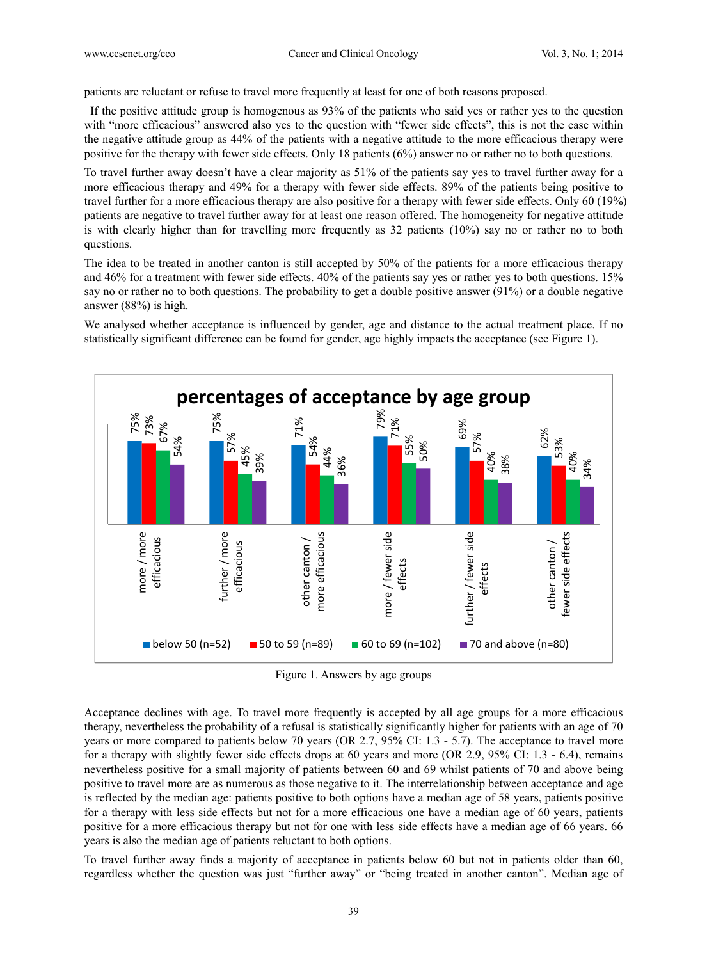patients are reluctant or refuse to travel more frequently at least for one of both reasons proposed.

 If the positive attitude group is homogenous as 93% of the patients who said yes or rather yes to the question with "more efficacious" answered also yes to the question with "fewer side effects", this is not the case within the negative attitude group as 44% of the patients with a negative attitude to the more efficacious therapy were positive for the therapy with fewer side effects. Only 18 patients (6%) answer no or rather no to both questions.

To travel further away doesn't have a clear majority as 51% of the patients say yes to travel further away for a more efficacious therapy and 49% for a therapy with fewer side effects. 89% of the patients being positive to travel further for a more efficacious therapy are also positive for a therapy with fewer side effects. Only 60 (19%) patients are negative to travel further away for at least one reason offered. The homogeneity for negative attitude is with clearly higher than for travelling more frequently as 32 patients (10%) say no or rather no to both questions.

The idea to be treated in another canton is still accepted by 50% of the patients for a more efficacious therapy and 46% for a treatment with fewer side effects. 40% of the patients say yes or rather yes to both questions. 15% say no or rather no to both questions. The probability to get a double positive answer (91%) or a double negative answer (88%) is high.

We analysed whether acceptance is influenced by gender, age and distance to the actual treatment place. If no statistically significant difference can be found for gender, age highly impacts the acceptance (see Figure 1).



Figure 1. Answers by age groups

Acceptance declines with age. To travel more frequently is accepted by all age groups for a more efficacious therapy, nevertheless the probability of a refusal is statistically significantly higher for patients with an age of 70 years or more compared to patients below 70 years (OR 2.7, 95% CI: 1.3 - 5.7). The acceptance to travel more for a therapy with slightly fewer side effects drops at 60 years and more (OR 2.9, 95% CI: 1.3 - 6.4), remains nevertheless positive for a small majority of patients between 60 and 69 whilst patients of 70 and above being positive to travel more are as numerous as those negative to it. The interrelationship between acceptance and age is reflected by the median age: patients positive to both options have a median age of 58 years, patients positive for a therapy with less side effects but not for a more efficacious one have a median age of 60 years, patients positive for a more efficacious therapy but not for one with less side effects have a median age of 66 years. 66 years is also the median age of patients reluctant to both options.

To travel further away finds a majority of acceptance in patients below 60 but not in patients older than 60,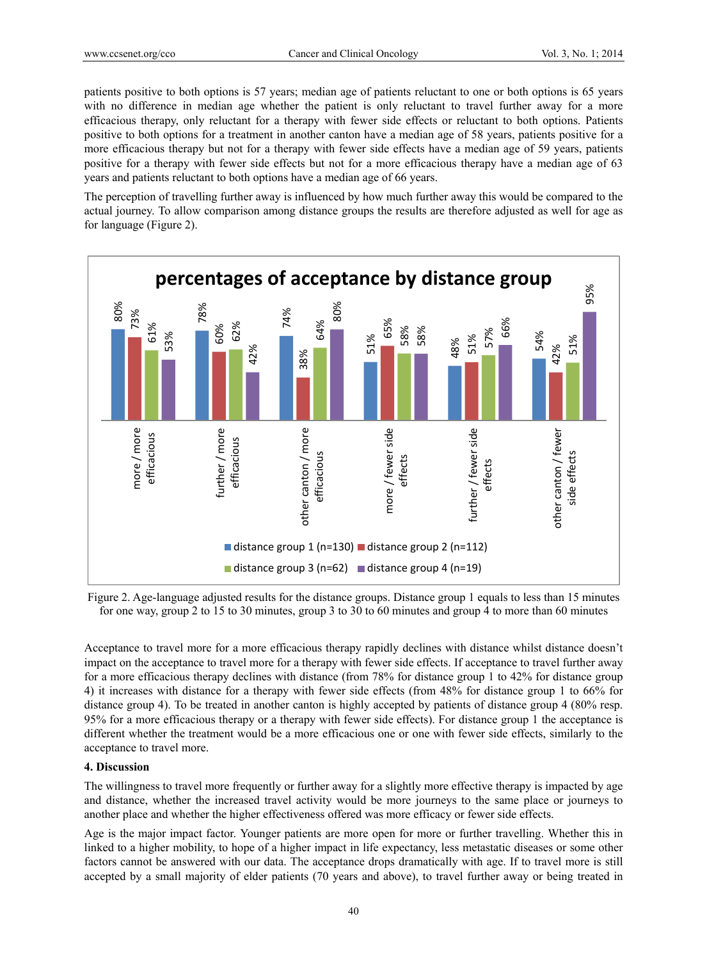patients positive to both options is 57 years; median age of patients reluctant to one or both options is 65 years with no difference in median age whether the patient is only reluctant to travel further away for a more efficacious therapy, only reluctant for a therapy with fewer side effects or reluctant to both options. Patients positive to both options for a treatment in another canton have a median age of 58 years, patients positive for a more efficacious therapy but not for a therapy with fewer side effects have a median age of 59 years, patients positive for a therapy with fewer side effects but not for a more efficacious therapy have a median age of 63 years and patients reluctant to both options have a median age of 66 years.

The perception of travelling further away is influenced by how much further away this would be compared to the actual journey. To allow comparison among distance groups the results are therefore adjusted as well for age as for language (Figure 2).



Figure 2. Age-language adjusted results for the distance groups. Distance group 1 equals to less than 15 minutes for one way, group 2 to 15 to 30 minutes, group 3 to 30 to 60 minutes and group 4 to more than 60 minutes

Acceptance to travel more for a more efficacious therapy rapidly declines with distance whilst distance doesn't impact on the acceptance to travel more for a therapy with fewer side effects. If acceptance to travel further away for a more efficacious therapy declines with distance (from 78% for distance group 1 to 42% for distance group 4) it increases with distance for a therapy with fewer side effects (from 48% for distance group 1 to 66% for distance group 4). To be treated in another canton is highly accepted by patients of distance group 4 (80% resp. 95% for a more efficacious therapy or a therapy with fewer side effects). For distance group 1 the acceptance is different whether the treatment would be a more efficacious one or one with fewer side effects, similarly to the acceptance to travel more.

#### **4. Discussion**

The willingness to travel more frequently or further away for a slightly more effective therapy is impacted by age and distance, whether the increased travel activity would be more journeys to the same place or journeys to another place and whether the higher effectiveness offered was more efficacy or fewer side effects.

Age is the major impact factor. Younger patients are more open for more or further travelling. Whether this in linked to a higher mobility, to hope of a higher impact in life expectancy, less metastatic diseases or some other factors cannot be answered with our data. The acceptance drops dramatically with age. If to travel more is still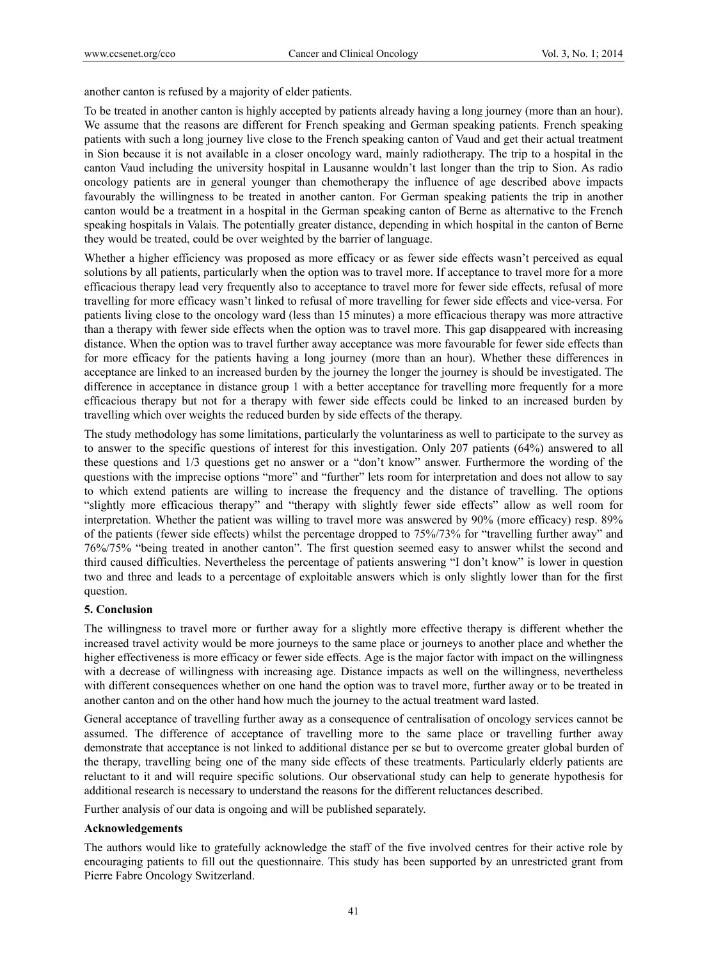another canton is refused by a majority of elder patients.

To be treated in another canton is highly accepted by patients already having a long journey (more than an hour). We assume that the reasons are different for French speaking and German speaking patients. French speaking patients with such a long journey live close to the French speaking canton of Vaud and get their actual treatment in Sion because it is not available in a closer oncology ward, mainly radiotherapy. The trip to a hospital in the canton Vaud including the university hospital in Lausanne wouldn't last longer than the trip to Sion. As radio oncology patients are in general younger than chemotherapy the influence of age described above impacts favourably the willingness to be treated in another canton. For German speaking patients the trip in another canton would be a treatment in a hospital in the German speaking canton of Berne as alternative to the French speaking hospitals in Valais. The potentially greater distance, depending in which hospital in the canton of Berne they would be treated, could be over weighted by the barrier of language.

Whether a higher efficiency was proposed as more efficacy or as fewer side effects wasn't perceived as equal solutions by all patients, particularly when the option was to travel more. If acceptance to travel more for a more efficacious therapy lead very frequently also to acceptance to travel more for fewer side effects, refusal of more travelling for more efficacy wasn't linked to refusal of more travelling for fewer side effects and vice-versa. For patients living close to the oncology ward (less than 15 minutes) a more efficacious therapy was more attractive than a therapy with fewer side effects when the option was to travel more. This gap disappeared with increasing distance. When the option was to travel further away acceptance was more favourable for fewer side effects than for more efficacy for the patients having a long journey (more than an hour). Whether these differences in acceptance are linked to an increased burden by the journey the longer the journey is should be investigated. The difference in acceptance in distance group 1 with a better acceptance for travelling more frequently for a more efficacious therapy but not for a therapy with fewer side effects could be linked to an increased burden by travelling which over weights the reduced burden by side effects of the therapy.

The study methodology has some limitations, particularly the voluntariness as well to participate to the survey as to answer to the specific questions of interest for this investigation. Only 207 patients (64%) answered to all these questions and 1/3 questions get no answer or a "don't know" answer. Furthermore the wording of the questions with the imprecise options "more" and "further" lets room for interpretation and does not allow to say to which extend patients are willing to increase the frequency and the distance of travelling. The options "slightly more efficacious therapy" and "therapy with slightly fewer side effects" allow as well room for interpretation. Whether the patient was willing to travel more was answered by 90% (more efficacy) resp. 89% of the patients (fewer side effects) whilst the percentage dropped to 75%/73% for "travelling further away" and 76%/75% "being treated in another canton". The first question seemed easy to answer whilst the second and third caused difficulties. Nevertheless the percentage of patients answering "I don't know" is lower in question two and three and leads to a percentage of exploitable answers which is only slightly lower than for the first question.

#### **5. Conclusion**

The willingness to travel more or further away for a slightly more effective therapy is different whether the increased travel activity would be more journeys to the same place or journeys to another place and whether the higher effectiveness is more efficacy or fewer side effects. Age is the major factor with impact on the willingness with a decrease of willingness with increasing age. Distance impacts as well on the willingness, nevertheless with different consequences whether on one hand the option was to travel more, further away or to be treated in another canton and on the other hand how much the journey to the actual treatment ward lasted.

General acceptance of travelling further away as a consequence of centralisation of oncology services cannot be assumed. The difference of acceptance of travelling more to the same place or travelling further away demonstrate that acceptance is not linked to additional distance per se but to overcome greater global burden of the therapy, travelling being one of the many side effects of these treatments. Particularly elderly patients are reluctant to it and will require specific solutions. Our observational study can help to generate hypothesis for additional research is necessary to understand the reasons for the different reluctances described.

Further analysis of our data is ongoing and will be published separately.

#### **Acknowledgements**

The authors would like to gratefully acknowledge the staff of the five involved centres for their active role by encouraging patients to fill out the questionnaire. This study has been supported by an unrestricted grant from Pierre Fabre Oncology Switzerland.